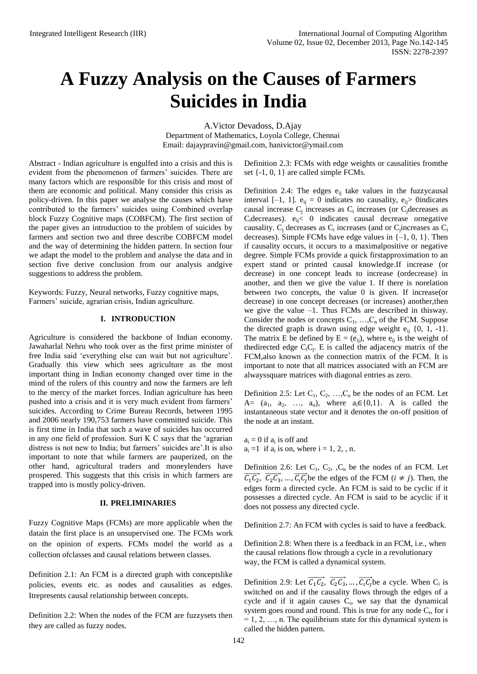# **A Fuzzy Analysis on the Causes of Farmers Suicides in India**

A.Victor Devadoss, D.Ajay Department of Mathematics, Loyola College, Chennai Email: [dajaypravin@gmail.com,](mailto:dajaypravin@gmail.com) [hanivictor@ymail.com](mailto:hanivictor@ymail.com)

Abstract - Indian agriculture is engulfed into a crisis and this is evident from the phenomenon of farmers' suicides. There are many factors which are responsible for this crisis and most of them are economic and political. Many consider this crisis as policy-driven. In this paper we analyse the causes which have contributed to the farmers' suicides using Combined overlap block Fuzzy Cognitive maps (COBFCM). The first section of the paper gives an introduction to the problem of suicides by farmers and section two and three describe COBFCM model and the way of determining the hidden pattern. In section four we adapt the model to the problem and analyse the data and in section five derive conclusion from our analysis andgive suggestions to address the problem.

Keywords: Fuzzy, Neural networks, Fuzzy cognitive maps, Farmers' suicide, agrarian crisis, Indian agriculture.

## **I. INTRODUCTION**

Agriculture is considered the backbone of Indian economy. Jawaharlal Nehru who took over as the first prime minister of free India said 'everything else can wait but not agriculture'. Gradually this view which sees agriculture as the most important thing in Indian economy changed over time in the mind of the rulers of this country and now the farmers are left to the mercy of the market forces. Indian agriculture has been pushed into a crisis and it is very much evident from farmers' suicides. According to Crime Bureau Records, between 1995 and 2006 nearly 190,753 farmers have committed suicide. This is first time in India that such a wave of suicides has occurred in any one field of profession. Suri K C says that the 'agrarian distress is not new to India; but farmers' suicides are'.It is also important to note that while farmers are pauperized, on the other hand, agricultural traders and moneylenders have prospered. This suggests that this crisis in which farmers are trapped into is mostly policy-driven.

#### **II. PRELIMINARIES**

Fuzzy Cognitive Maps (FCMs) are more applicable when the datain the first place is an unsupervised one. The FCMs work on the opinion of experts. FCMs model the world as a collection ofclasses and causal relations between classes.

Definition 2.1: An FCM is a directed graph with conceptslike policies, events etc. as nodes and causalities as edges. Itrepresents causal relationship between concepts.

Definition 2.2: When the nodes of the FCM are fuzzysets then they are called as fuzzy nodes.

Definition 2.3: FCMs with edge weights or causalities fromthe set {-1, 0, 1} are called simple FCMs*.*

Definition 2.4: The edges  $e_{ii}$  take values in the fuzzycausal interval [–1, 1].  $e_{ij} = 0$  indicates no causality,  $e_{ij}$  0indicates causal increase  $C_j$  increases as  $C_i$  increases (or  $C_j$  decreases as  $C_i$ decreases).  $e_{ii}$ < 0 indicates causal decrease ornegative causality.  $C_j$  decreases as  $C_i$  increases (and or  $C_j$  increases as  $C_i$ decreases). Simple FCMs have edge values in  $\{-1, 0, 1\}$ . Then if causality occurs, it occurs to a maximalpositive or negative degree. Simple FCMs provide a quick firstapproximation to an expert stand or printed causal knowledge.If increase (or decrease) in one concept leads to increase (ordecrease) in another, and then we give the value 1. If there is norelation between two concepts, the value 0 is given. If increase(or decrease) in one concept decreases (or increases) another,then we give the value –1. Thus FCMs are described in thisway. Consider the nodes or concepts  $C_1$ , ...,  $C_n$  of the FCM. Suppose the directed graph is drawn using edge weight  $e_{ii}$  {0, 1, -1}. The matrix E be defined by  $E = (e_{ii})$ , where  $e_{ii}$  is the weight of thedirected edge  $C_iC_j$ . E is called the adjacency matrix of the FCM,also known as the connection matrix of the FCM. It is important to note that all matrices associated with an FCM are alwayssquare matrices with diagonal entries as zero.

Definition 2.5: Let  $C_1, C_2, \ldots, C_n$  be the nodes of an FCM. Let A=  $(a_1, a_2, \ldots, a_n)$ , where  $a_i \in \{0,1\}$ . A is called the instantaneous state vector and it denotes the on-off position of the node at an instant.

 $a_i = 0$  if  $a_i$  is off and  $a_i = 1$  if  $a_i$  is on, where  $i = 1, 2, n$ .

Definition 2.6: Let  $C_1$ ,  $C_2$ ,  $C_n$  be the nodes of an FCM. Let  $\overrightarrow{C_1 C_2}$ ,  $\overrightarrow{C_2 C_3}$ , ...,  $\overrightarrow{C_i C_i}$  be the edges of the FCM  $(i \neq j)$ . Then, the edges form a directed cycle. An FCM is said to be cyclic if it possesses a directed cycle. An FCM is said to be acyclic if it does not possess any directed cycle.

Definition 2.7: An FCM with cycles is said to have a feedback*.*

Definition 2.8: When there is a feedback in an FCM, i.e., when the causal relations flow through a cycle in a revolutionary way, the FCM is called a dynamical system.

Definition 2.9: Let  $\overrightarrow{C_1 C_2}$ ,  $\overrightarrow{C_2 C_3}$ , ...,  $\overrightarrow{C_i C_j}$  be a cycle. When  $C_i$  is switched on and if the causality flows through the edges of a cycle and if it again causes  $C_i$ , we say that the dynamical system goes round and round. This is true for any node  $C_i$ , for i  $= 1, 2, \ldots, n$ . The equilibrium state for this dynamical system is called the hidden pattern.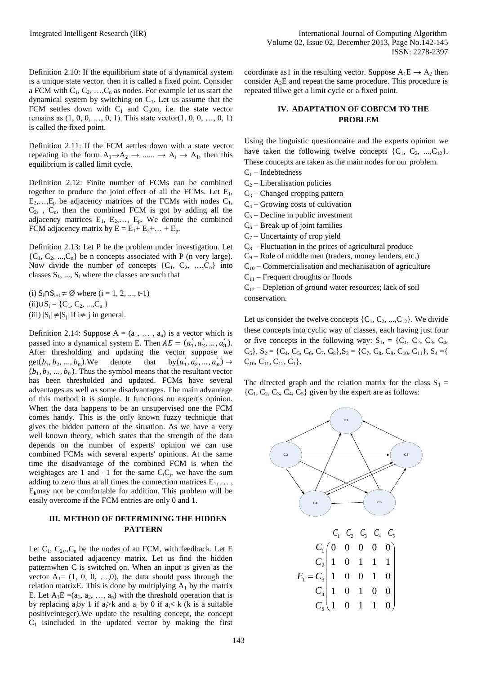Definition 2.10: If the equilibrium state of a dynamical system is a unique state vector, then it is called a fixed point. Consider a FCM with  $C_1, C_2, ..., C_n$  as nodes. For example let us start the dynamical system by switching on  $C_1$ . Let us assume that the FCM settles down with  $C_1$  and  $C_n$ on, i.e. the state vector remains as  $(1, 0, 0, ..., 0, 1)$ . This state vector $(1, 0, 0, ..., 0, 1)$ is called the fixed point.

Definition 2.11: If the FCM settles down with a state vector repeating in the form  $A_1 \rightarrow A_2 \rightarrow \dots \rightarrow A_i \rightarrow A_1$ , then this equilibrium is called limit cycle.

Definition 2.12: Finite number of FCMs can be combined together to produce the joint effect of all the FCMs. Let  $E_1$ ,  $E_2, \ldots, E_p$  be adjacency matrices of the FCMs with nodes  $C_1$ ,  $C_2$ , ,  $C_n$ , then the combined FCM is got by adding all the adjacency matrices  $E_1$ ,  $E_2$ ,...,  $E_p$ . We denote the combined FCM adjacency matrix by  $E = E_1 + E_2 + ... + E_p$ .

Definition 2.13: Let P be the problem under investigation. Let  ${C_1, C_2, ..., C_n}$  be n concepts associated with P (n very large). Now divide the number of concepts  $\{C_1, C_2, ..., C_n\}$  into classes  $S_1$ , ...,  $S_t$  where the classes are such that

(i)  $S_i \cap S_{i+1} \neq \emptyset$  where (i = 1, 2, ..., t-1)  $(ii) \cup S_i = \{C_1, C_2, ..., C_n\}$ (iii)  $|S_i| \neq |S_j|$  if  $i \neq j$  in general.

Definition 2.14: Suppose  $A = (a_1, \ldots, a_n)$  is a vector which is passed into a dynamical system E. Then  $AE = (a'_1, a'_2, ..., a'_n)$ . After thresholding and updating the vector suppose we  $get(b_1, b_2,$ denote that  $a'_1, a'_2, ..., a'_n$ )  $\rightarrow$  $(b_1, b_2, ..., b_n)$ . Thus the symbol means that the resultant vector has been thresholded and updated. FCMs have several advantages as well as some disadvantages. The main advantage of this method it is simple. It functions on expert's opinion. When the data happens to be an unsupervised one the FCM comes handy. This is the only known fuzzy technique that gives the hidden pattern of the situation. As we have a very well known theory, which states that the strength of the data depends on the number of experts' opinion we can use combined FCMs with several experts' opinions. At the same time the disadvantage of the combined FCM is when the weightages are 1 and  $-1$  for the same C<sub>i</sub>C<sub>j</sub>, we have the sum adding to zero thus at all times the connection matrices  $E_1, \ldots$ ,  $E_k$  may not be comfortable for addition. This problem will be easily overcome if the FCM entries are only 0 and 1.

# **III. METHOD OF DETERMINING THE HIDDEN PATTERN**

Let  $C_1$ ,  $C_2$ ,  $C_n$  be the nodes of an FCM, with feedback. Let E bethe associated adjacency matrix. Let us find the hidden patternwhen  $C_1$ is switched on. When an input is given as the vector  $A_1 = (1, 0, 0, \ldots, 0)$ , the data should pass through the relation matrixE. This is done by multiplying  $A_1$  by the matrix E. Let  $A_1E = (a_1, a_2, ..., a_n)$  with the threshold operation that is by replacing a<sub>i</sub>by 1 if a<sub>i</sub>>k and a<sub>i</sub> by 0 if a<sub>i</sub>< k (k is a suitable positiveinteger).We update the resulting concept, the concept  $C_1$  is included in the updated vector by making the first coordinate as1 in the resulting vector. Suppose  $A_1E \rightarrow A_2$  then consider  $A_2E$  and repeat the same procedure. This procedure is repeated tillwe get a limit cycle or a fixed point.

# **IV. ADAPTATION OF COBFCM TO THE PROBLEM**

Using the linguistic questionnaire and the experts opinion we have taken the following twelve concepts  ${C_1, C_2, ..., C_{12}}$ . These concepts are taken as the main nodes for our problem.

 $C_1$  – Indebtedness

 $C_2$  – Liberalisation policies

 $C_3$  – Changed cropping pattern

 $C_4$  – Growing costs of cultivation

 $C_5$  – Decline in public investment

 $C_6$  – Break up of joint families

 $C_7$  – Uncertainty of crop yield

 $C_8$  – Fluctuation in the prices of agricultural produce

C<sup>9</sup> – Role of middle men (traders, money lenders, etc.)

 $C_{10}$  – Commercialisation and mechanisation of agriculture

 $C_{11}$  – Frequent droughts or floods

 $C_{12}$  – Depletion of ground water resources; lack of soil conservation.

Let us consider the twelve concepts  $\{C_1, C_2, ..., C_{12}\}\$ . We divide these concepts into cyclic way of classes, each having just four or five concepts in the following way:  $S_1$ , = {C<sub>1</sub>, C<sub>2</sub>, C<sub>3</sub>, C<sub>4</sub>,  $C_5$ ,  $S_2 = \{C_4, C_5, C_6, C_7, C_8\}$ ,  $S_3 = \{C_7, C_8, C_9, C_{10}, C_{11}\}$ ,  $S_4 = \{C_9, C_8, C_{10}, C_{11}\}$  $C_{10}$ ,  $C_{11}$ ,  $C_{12}$ ,  $C_1$ .

The directed graph and the relation matrix for the class  $S_1$  =  ${C_1, C_2, C_3, C_4, C_5}$  given by the expert are as follows:

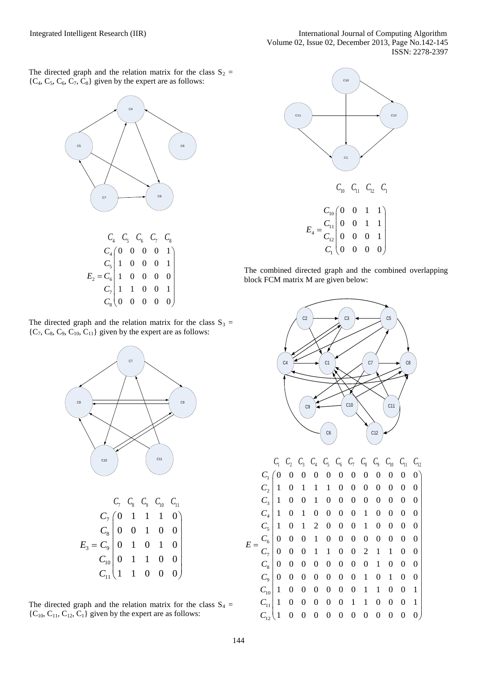The directed graph and the relation matrix for the class  $S_2$  =  ${C_4, C_5, C_6, C_7, C_8}$  given by the expert are as follows:



|                                                                                                                                                                                         |  |  | $U_1$ $U_5$ $U_6$ $U_7$ $U_9$ |  |
|-----------------------------------------------------------------------------------------------------------------------------------------------------------------------------------------|--|--|-------------------------------|--|
|                                                                                                                                                                                         |  |  |                               |  |
|                                                                                                                                                                                         |  |  |                               |  |
|                                                                                                                                                                                         |  |  |                               |  |
|                                                                                                                                                                                         |  |  |                               |  |
| $\begin{array}{c cccc} & C_4 & 0 & 0 & 0 & 0 & 1 \\ & C_5 & 1 & 0 & 0 & 0 & 1 \\ & E_2 = C_6 & 1 & 0 & 0 & 0 & 0 \\ & C_7 & 1 & 1 & 0 & 0 & 1 \\ & C_8 & 0 & 0 & 0 & 0 & 0 \end{array}$ |  |  |                               |  |

The directed graph and the relation matrix for the class  $S_3 =$  ${C_7, C_8, C_9, C_{10}, C_{11}}$  given by the expert are as follows:



|                                                                                                                                                                                                                                                    |  |  | $C_7$ $C_8$ $C_9$ $C_{10}$ $C_{11}$ |  |
|----------------------------------------------------------------------------------------------------------------------------------------------------------------------------------------------------------------------------------------------------|--|--|-------------------------------------|--|
|                                                                                                                                                                                                                                                    |  |  |                                     |  |
|                                                                                                                                                                                                                                                    |  |  |                                     |  |
| $C_7$ $C_8$ $C_9$ $C_8$ $C_9$ $C_1$ $C_{10}$ $C_{11}$ $C_{10}$ $C_{11}$ $C_{10}$ $C_{11}$ $C_{10}$ $C_{11}$ $C_{10}$ $C_{11}$ $C_{11}$ $C_{10}$ $C_{11}$ $C_{11}$ $C_{10}$ $C_{11}$ $C_{11}$ $C_{10}$ $C_{11}$ $C_{11}$ $C_{10}$ $C_{11}$ $C_{11}$ |  |  |                                     |  |
|                                                                                                                                                                                                                                                    |  |  |                                     |  |
|                                                                                                                                                                                                                                                    |  |  |                                     |  |

The directed graph and the relation matrix for the class  $S_4$  =  ${C_{10}, C_{11}, C_{12}, C_1}$  given by the expert are as follows:



The combined directed graph and the combined overlapping block FCM matrix M are given below:



|   |                            |                  |                  |                  |                  |                  |                  |                  |                         |                  | $C_1$ $C_2$ $C_3$ $C_4$ $C_5$ $C_6$ $C_7$ $C_8$ $C_9$ $C_{10}$ $C_{11}$ $C_{12}$ |          |          |
|---|----------------------------|------------------|------------------|------------------|------------------|------------------|------------------|------------------|-------------------------|------------------|----------------------------------------------------------------------------------|----------|----------|
|   | $C_{1}$                    | $\theta$         | $\boldsymbol{0}$ | $\boldsymbol{0}$ | $\boldsymbol{0}$ | $\boldsymbol{0}$ | $\bf{0}$         | $\boldsymbol{0}$ | $\overline{\mathbf{0}}$ | $\boldsymbol{0}$ | 0                                                                                | 0        | 0        |
|   | $C_{2}$                    | $\mathbf{1}$     | $\bf{0}$         | 1                | $\mathbf{1}$     | $\mathbf{1}$     | $\boldsymbol{0}$ | $\boldsymbol{0}$ | 0                       | $\boldsymbol{0}$ | 0                                                                                | $\Omega$ | $\Omega$ |
|   | $C_{3}$                    | $\mathbf{1}$     | $\overline{0}$   | 0                | $\mathbf{1}$     | 0                | $\boldsymbol{0}$ | $\boldsymbol{0}$ | 0                       | 0                | 0                                                                                | $\theta$ | $\theta$ |
|   | $C_4$                      | $\mathbf{1}$     | $\overline{0}$   | $\mathbf{1}$     | 0                | 0                | $\boldsymbol{0}$ | $\boldsymbol{0}$ | $\mathbf{1}$            | 0                | 0                                                                                | 0        | $\theta$ |
|   | $C_5$                      | $\mathbf{1}$     | $\boldsymbol{0}$ | $\mathbf{1}$     | $\overline{2}$   | $\boldsymbol{0}$ | $\boldsymbol{0}$ | $\boldsymbol{0}$ | $\mathbf{1}$            | 0                | 0                                                                                | $\Omega$ | $\theta$ |
| E | $C_{\scriptscriptstyle 6}$ | $\boldsymbol{0}$ | $\boldsymbol{0}$ | $\boldsymbol{0}$ | $\mathbf{1}$     | 0                | $\boldsymbol{0}$ | $\boldsymbol{0}$ | $\boldsymbol{0}$        | 0                | 0                                                                                | $\theta$ | $\theta$ |
|   | $C_7$                      | 0                | 0                | 0                | $\mathbf{1}$     | $\mathbf{1}$     | $\boldsymbol{0}$ | $\bf{0}$         | 2                       | 1                | $\mathbf{1}$                                                                     | 0        | $\theta$ |
|   | $C_{8}$                    | $\mathbf{0}$     | $\boldsymbol{0}$ | $\boldsymbol{0}$ | $\mathbf{0}$     | $\boldsymbol{0}$ | $\boldsymbol{0}$ | $\boldsymbol{0}$ | $\boldsymbol{0}$        | 1                | 0                                                                                | 0        | $\theta$ |
|   | $C_{\rm o}$                | $\mathbf{0}$     | $\overline{0}$   | 0                | $\theta$         | $\boldsymbol{0}$ | $\boldsymbol{0}$ | $\boldsymbol{0}$ | 1                       | 0                | 1                                                                                | $\theta$ | $_{0}$   |
|   | $C_{10}$                   | $\mathbf{1}$     | 0                | $\boldsymbol{0}$ | 0                | $\boldsymbol{0}$ | $\boldsymbol{0}$ | $\boldsymbol{0}$ | 1                       | 1                | 0                                                                                | 0        | 1        |
|   | $C_{11}$                   | $\mathbf{1}$     | $\theta$         | $\overline{0}$   | 0                | $\boldsymbol{0}$ | $\boldsymbol{0}$ | $\mathbf{1}$     | 1                       | $\theta$         | 0                                                                                | $\Omega$ | 1        |
|   | $C_{12}$                   |                  | $\theta$         | 0                | 0                | $\overline{0}$   | 0                | 0                | 0                       | 0                | 0                                                                                | 0        | 0        |
|   |                            |                  |                  |                  |                  |                  |                  |                  |                         |                  |                                                                                  |          |          |